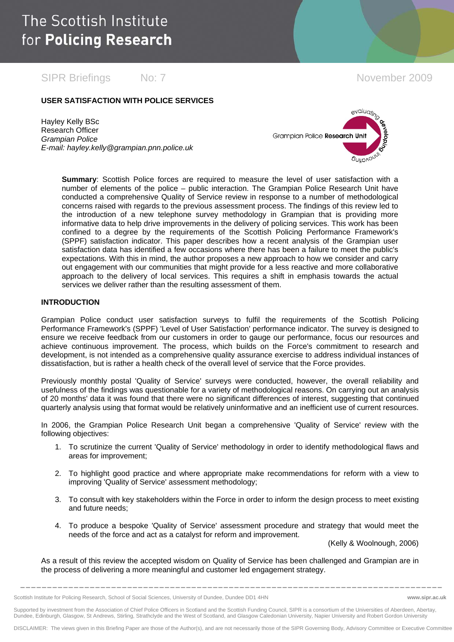SIPR Briefings No: 7 November 2009

### **USER SATISFACTION WITH POLICE SERVICES**

Hayley Kelly BSc Research Officer *Grampian Police E-mail: hayley.kelly@grampian.pnn.police.uk* 



**Summary**: Scottish Police forces are required to measure the level of user satisfaction with a number of elements of the police – public interaction. The Grampian Police Research Unit have conducted a comprehensive Quality of Service review in response to a number of methodological concerns raised with regards to the previous assessment process. The findings of this review led to the introduction of a new telephone survey methodology in Grampian that is providing more informative data to help drive improvements in the delivery of policing services. This work has been confined to a degree by the requirements of the Scottish Policing Performance Framework's (SPPF) satisfaction indicator. This paper describes how a recent analysis of the Grampian user satisfaction data has identified a few occasions where there has been a failure to meet the public's expectations. With this in mind, the author proposes a new approach to how we consider and carry out engagement with our communities that might provide for a less reactive and more collaborative approach to the delivery of local services. This requires a shift in emphasis towards the actual services we deliver rather than the resulting assessment of them.

#### **INTRODUCTION**

Grampian Police conduct user satisfaction surveys to fulfil the requirements of the Scottish Policing Performance Framework's (SPPF) 'Level of User Satisfaction' performance indicator. The survey is designed to ensure we receive feedback from our customers in order to gauge our performance, focus our resources and achieve continuous improvement. The process, which builds on the Force's commitment to research and development, is not intended as a comprehensive quality assurance exercise to address individual instances of dissatisfaction, but is rather a health check of the overall level of service that the Force provides.

Previously monthly postal 'Quality of Service' surveys were conducted, however, the overall reliability and usefulness of the findings was questionable for a variety of methodological reasons. On carrying out an analysis of 20 months' data it was found that there were no significant differences of interest, suggesting that continued quarterly analysis using that format would be relatively uninformative and an inefficient use of current resources.

In 2006, the Grampian Police Research Unit began a comprehensive 'Quality of Service' review with the following objectives:

- 1. To scrutinize the current 'Quality of Service' methodology in order to identify methodological flaws and areas for improvement;
- 2. To highlight good practice and where appropriate make recommendations for reform with a view to improving 'Quality of Service' assessment methodology;
- 3. To consult with key stakeholders within the Force in order to inform the design process to meet existing and future needs;
- 4. To produce a bespoke 'Quality of Service' assessment procedure and strategy that would meet the needs of the force and act as a catalyst for reform and improvement.

(Kelly & Woolnough, 2006)

As a result of this review the accepted wisdom on Quality of Service has been challenged and Grampian are in the process of delivering a more meaningful and customer led engagement strategy.

**\_\_\_\_\_\_\_\_\_\_\_\_\_\_\_\_\_\_\_\_\_\_\_\_\_\_\_\_\_\_\_\_\_\_\_\_\_\_\_\_\_\_\_\_\_\_\_\_\_\_\_\_\_\_\_\_\_\_\_\_\_\_\_\_\_\_\_\_\_\_\_\_\_\_\_\_\_\_\_** 

Supported by investment from the Association of Chief Police Officers in Scotland and the Scottish Funding Council, SIPR is a consortium of the Universities of Aberdeen, Abertay, Dundee, Edinburgh, Glasgow, St Andrews, Stirling, Strathclyde and the West of Scotland, and Glasgow Caledonian University, Napier University and Robert Gordon University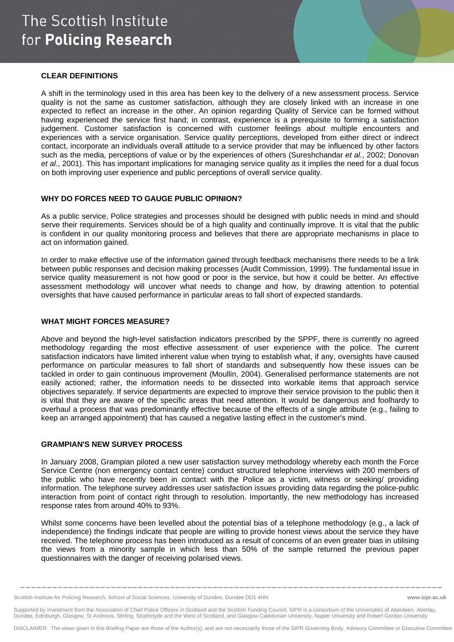## The Scottish Institute for Policing Research

#### **CLEAR DEFINITIONS**

A shift in the terminology used in this area has been key to the delivery of a new assessment process. Service quality is not the same as customer satisfaction, although they are closely linked with an increase in one expected to reflect an increase in the other. An opinion regarding Quality of Service can be formed without having experienced the service first hand; in contrast, experience is a prerequisite to forming a satisfaction judgement. Customer satisfaction is concerned with customer feelings about multiple encounters and experiences with a service organisation. Service quality perceptions, developed from either direct or indirect contact, incorporate an individuals overall attitude to a service provider that may be influenced by other factors such as the media, perceptions of value or by the experiences of others (Sureshchandar *et al.*, 2002; Donovan *et al.*, 2001). This has important implications for managing service quality as it implies the need for a dual focus on both improving user experience and public perceptions of overall service quality.

## **WHY DO FORCES NEED TO GAUGE PUBLIC OPINION?**

As a public service, Police strategies and processes should be designed with public needs in mind and should serve their requirements. Services should be of a high quality and continually improve. It is vital that the public is confident in our quality monitoring process and believes that there are appropriate mechanisms in place to act on information gained.

In order to make effective use of the information gained through feedback mechanisms there needs to be a link between public responses and decision making processes (Audit Commission, 1999). The fundamental issue in service quality measurement is not how good or poor is the service, but how it could be better. An effective assessment methodology will uncover what needs to change and how, by drawing attention to potential oversights that have caused performance in particular areas to fall short of expected standards.

### **WHAT MIGHT FORCES MEASURE?**

Above and beyond the high-level satisfaction indicators prescribed by the SPPF, there is currently no agreed methodology regarding the most effective assessment of user experience with the police. The current satisfaction indicators have limited inherent value when trying to establish what, if any, oversights have caused performance on particular measures to fall short of standards and subsequently how these issues can be tackled in order to gain continuous improvement (Moullin, 2004). Generalised performance statements are not easily actioned; rather, the information needs to be dissected into workable items that approach service objectives separately. If service departments are expected to improve their service provision to the public then it is vital that they are aware of the specific areas that need attention. It would be dangerous and foolhardy to overhaul a process that was predominantly effective because of the effects of a single attribute (e.g., failing to keep an arranged appointment) that has caused a negative lasting effect in the customer's mind.

### **GRAMPIAN'S NEW SURVEY PROCESS**

In January 2008, Grampian piloted a new user satisfaction survey methodology whereby each month the Force Service Centre (non emergency contact centre) conduct structured telephone interviews with 200 members of the public who have recently been in contact with the Police as a victim, witness or seeking/ providing information. The telephone survey addresses user satisfaction issues providing data regarding the police-public interaction from point of contact right through to resolution. Importantly, the new methodology has increased response rates from around 40% to 93%.

Whilst some concerns have been levelled about the potential bias of a telephone methodology (e.g., a lack of independence) the findings indicate that people are willing to provide honest views about the service they have received. The telephone process has been introduced as a result of concerns of an even greater bias in utilising the views from a minority sample in which less than 50% of the sample returned the previous paper questionnaires with the danger of receiving polarised views.

Scottish Institute for Policing Research, School of Social Sciences, University of Dundee, Dundee DD1 4HN **www.sipr.ac.uk**

Supported by investment from the Association of Chief Police Officers in Scotland and the Scottish Funding Council, SIPR is a consortium of the Universities of Aberdeen, Abertay, Dundee, Edinburgh, Glasgow, St Andrews, Stirling, Strathclyde and the West of Scotland, and Glasgow Caledonian University, Napier University and Robert Gordon University

DISCLAIMER: The views given in this Briefing Paper are those of the Author(s), and are not necessarily those of the SIPR Governing Body, Advisory Committee or Executive Committee

**\_\_\_\_\_\_\_\_\_\_\_\_\_\_\_\_\_\_\_\_\_\_\_\_\_\_\_\_\_\_\_\_\_\_\_\_\_\_\_\_\_\_\_\_\_\_\_\_\_\_\_\_\_\_\_\_\_\_\_\_\_\_\_\_\_\_\_\_\_\_\_\_\_\_\_\_\_\_\_**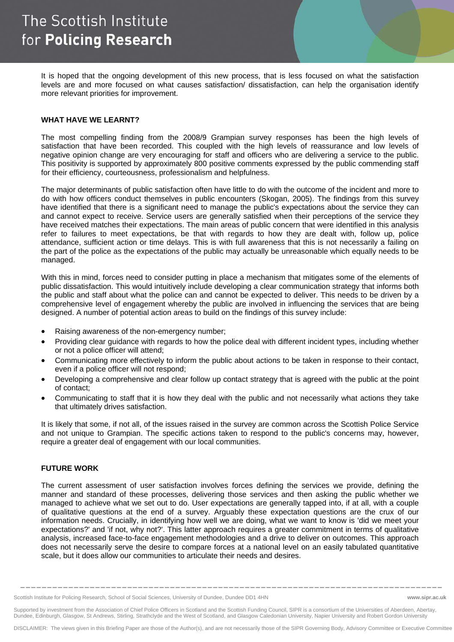It is hoped that the ongoing development of this new process, that is less focused on what the satisfaction levels are and more focused on what causes satisfaction/ dissatisfaction, can help the organisation identify more relevant priorities for improvement.

#### **WHAT HAVE WE LEARNT?**

The most compelling finding from the 2008/9 Grampian survey responses has been the high levels of satisfaction that have been recorded. This coupled with the high levels of reassurance and low levels of negative opinion change are very encouraging for staff and officers who are delivering a service to the public. This positivity is supported by approximately 800 positive comments expressed by the public commending staff for their efficiency, courteousness, professionalism and helpfulness.

The major determinants of public satisfaction often have little to do with the outcome of the incident and more to do with how officers conduct themselves in public encounters (Skogan, 2005). The findings from this survey have identified that there is a significant need to manage the public's expectations about the service they can and cannot expect to receive. Service users are generally satisfied when their perceptions of the service they have received matches their expectations. The main areas of public concern that were identified in this analysis refer to failures to meet expectations, be that with regards to how they are dealt with, follow up, police attendance, sufficient action or time delays. This is with full awareness that this is not necessarily a failing on the part of the police as the expectations of the public may actually be unreasonable which equally needs to be managed.

With this in mind, forces need to consider putting in place a mechanism that mitigates some of the elements of public dissatisfaction. This would intuitively include developing a clear communication strategy that informs both the public and staff about what the police can and cannot be expected to deliver. This needs to be driven by a comprehensive level of engagement whereby the public are involved in influencing the services that are being designed. A number of potential action areas to build on the findings of this survey include:

- Raising awareness of the non-emergency number:
- Providing clear guidance with regards to how the police deal with different incident types, including whether or not a police officer will attend;
- Communicating more effectively to inform the public about actions to be taken in response to their contact, even if a police officer will not respond;
- Developing a comprehensive and clear follow up contact strategy that is agreed with the public at the point of contact;
- Communicating to staff that it is how they deal with the public and not necessarily what actions they take that ultimately drives satisfaction.

It is likely that some, if not all, of the issues raised in the survey are common across the Scottish Police Service and not unique to Grampian. The specific actions taken to respond to the public's concerns may, however, require a greater deal of engagement with our local communities.

#### **FUTURE WORK**

The current assessment of user satisfaction involves forces defining the services we provide, defining the manner and standard of these processes, delivering those services and then asking the public whether we managed to achieve what we set out to do. User expectations are generally tapped into, if at all, with a couple of qualitative questions at the end of a survey. Arguably these expectation questions are the crux of our information needs. Crucially, in identifying how well we are doing, what we want to know is 'did we meet your expectations?' and 'if not, why not?'. This latter approach requires a greater commitment in terms of qualitative analysis, increased face-to-face engagement methodologies and a drive to deliver on outcomes. This approach does not necessarily serve the desire to compare forces at a national level on an easily tabulated quantitative scale, but it does allow our communities to articulate their needs and desires.

Supported by investment from the Association of Chief Police Officers in Scotland and the Scottish Funding Council, SIPR is a consortium of the Universities of Aberdeen, Abertay, Dundee, Edinburgh, Glasgow, St Andrews, Stirling, Strathclyde and the West of Scotland, and Glasgow Caledonian University, Napier University and Robert Gordon University

DISCLAIMER: The views given in this Briefing Paper are those of the Author(s), and are not necessarily those of the SIPR Governing Body, Advisory Committee or Executive Committee

**\_\_\_\_\_\_\_\_\_\_\_\_\_\_\_\_\_\_\_\_\_\_\_\_\_\_\_\_\_\_\_\_\_\_\_\_\_\_\_\_\_\_\_\_\_\_\_\_\_\_\_\_\_\_\_\_\_\_\_\_\_\_\_\_\_\_\_\_\_\_\_\_\_\_\_\_\_\_\_** 

Scottish Institute for Policing Research, School of Social Sciences, University of Dundee, Dundee DD1 4HN **www.sipr.ac.uk**